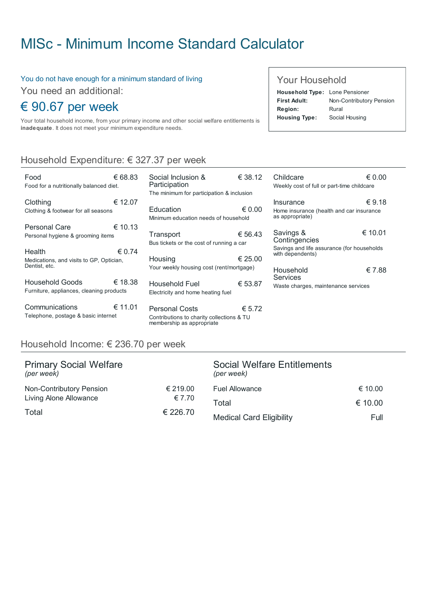# MISc - Minimum Income Standard [Calculator](http://www.misc.ie/)

Social Inclusion & Participation

#### You do not have enough for a minimum standard of living

You need an additional:

## € 90.67 per week

Your total household income, from your primary income and other social welfare entitlements is inadequate. It does not meet your minimum expenditure needs.

## Household Expenditure: € 327.37 per week

| Food<br>Food for a nutritionally balanced diet.                     | € 68.83         |
|---------------------------------------------------------------------|-----------------|
| Clothing<br>Clothing & footwear for all seasons                     | € 12.07         |
| Personal Care<br>Personal hygiene & grooming items                  | € 10.13         |
| Health<br>Medications, and visits to GP, Optician,<br>Dentist, etc. | $\epsilon$ 0.74 |
| Household Goods<br>Furniture, appliances, cleaning products         | € 18.38         |
| Communications<br>Telephone, postage & basic internet               | € 11.01         |

| The minimum for participation & inclusion                  |                 |  |
|------------------------------------------------------------|-----------------|--|
| Education<br>Minimum education needs of household          | $\epsilon$ 0.00 |  |
| Transport<br>Bus tickets or the cost of running a car      | € 56.43         |  |
| Housing<br>Your weekly housing cost (rent/mortgage)        | € 25.00         |  |
| <b>Household Fuel</b><br>Electricity and home heating fuel | € 53.87         |  |
|                                                            |                 |  |

€ 38.12

€ 5.72 Personal Costs Contributions to charity collections & TU membership as appropriate

## Your Household

| <b>Household Type:</b> Lone Pensioner |                          |
|---------------------------------------|--------------------------|
| First Adult:                          | Non-Contributory Pension |
| <b>Region:</b>                        | Rural                    |
| <b>Housing Type:</b>                  | Social Housing           |

| Childcare                                                      | $\epsilon$ 0.00 |
|----------------------------------------------------------------|-----------------|
| Weekly cost of full or part-time childcare                     |                 |
|                                                                |                 |
| Insurance                                                      | € 9.18          |
| Home insurance (health and car insurance<br>as appropriate)    |                 |
| Savings &                                                      | € 10.01         |
| Contingencies                                                  |                 |
| Savings and life assurance (for households<br>with dependents) |                 |
| Household                                                      | € 7.88          |
| Services                                                       |                 |
| Waste charges, maintenance services                            |                 |

## Household Income: € 236.70 per week

| <b>Primary Social Welfare</b><br>(per week) |          | <b>Social Welfare Entitlements</b><br>(per week) |         |
|---------------------------------------------|----------|--------------------------------------------------|---------|
| Non-Contributory Pension                    | € 219.00 | <b>Fuel Allowance</b>                            | € 10.00 |
| Living Alone Allowance                      | € 7.70   | Total                                            | € 10.00 |
| Total                                       | € 226.70 | <b>Medical Card Eligibility</b>                  | Full    |